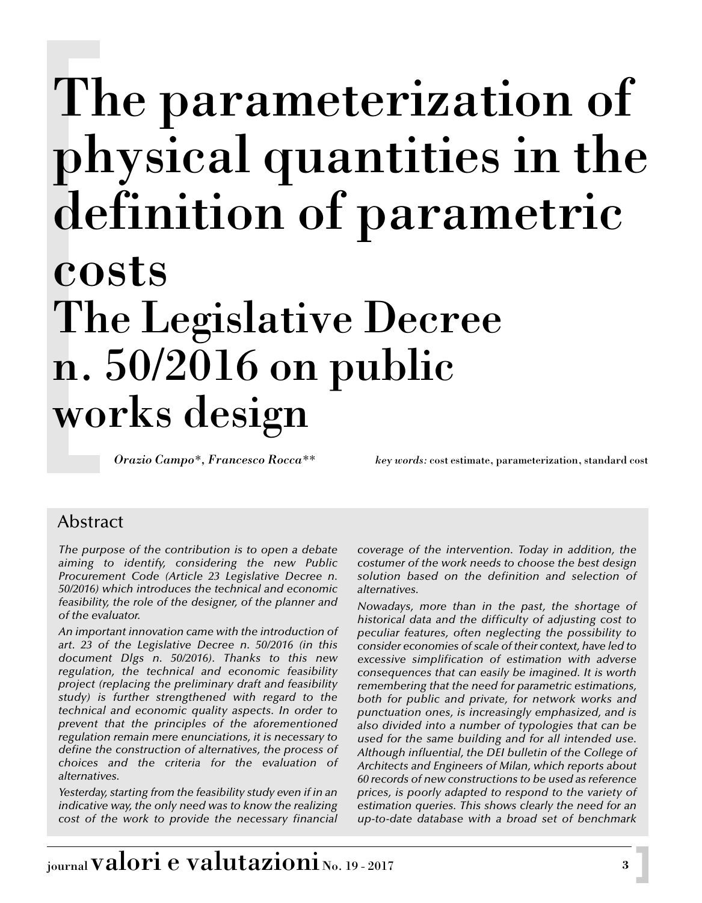# The parameterization of physical quantities in the definition of parametric costs The Legislative Decree n. 50/2016 on public works design

*Orazio Campo\*, Francesco Rocca\*\* key words:* cost estimate, parameterization, standard cost

# Abstract

*The purpose of the contribution is to open a debate aiming to identify, considering the new Public Procurement Code (Article 23 Legislative Decree n. 50/2016) which introduces the technical and economic feasibility, the role of the designer, of the planner and of the evaluator.*

*An important innovation came with the introduction of art. 23 of the Legislative Decree n. 50/2016 (in this document Dlgs n. 50/2016). Thanks to this new regulation, the technical and economic feasibility project (replacing the preliminary draft and feasibility study) is further strengthened with regard to the technical and economic quality aspects. In order to prevent that the principles of the aforementioned regulation remain mere enunciations, it is necessary to define the construction of alternatives, the process of choices and the criteria for the evaluation of alternatives.*

*Yesterday, starting from the feasibility study even if in an indicative way, the only need was to know the realizing cost of the work to provide the necessary financial*

*coverage of the intervention. Today in addition, the costumer of the work needs to choose the best design solution based on the definition and selection of alternatives.*

*Nowadays, more than in the past, the shortage of historical data and the difficulty of adjusting cost to peculiar features, often neglecting the possibility to consider economies of scale of their context, have led to excessive simplification of estimation with adverse consequences that can easily be imagined. It is worth remembering that the need for parametric estimations, both for public and private, for network works and punctuation ones, is increasingly emphasized, and is also divided into a number of typologies that can be used for the same building and for all intended use. Although influential, the DEI bulletin of the College of Architects and Engineers of Milan, which reports about 60 records of new constructions to be used as reference prices, is poorly adapted to respond to the variety of estimation queries. This shows clearly the need for an up-to-date database with a broad set of benchmark*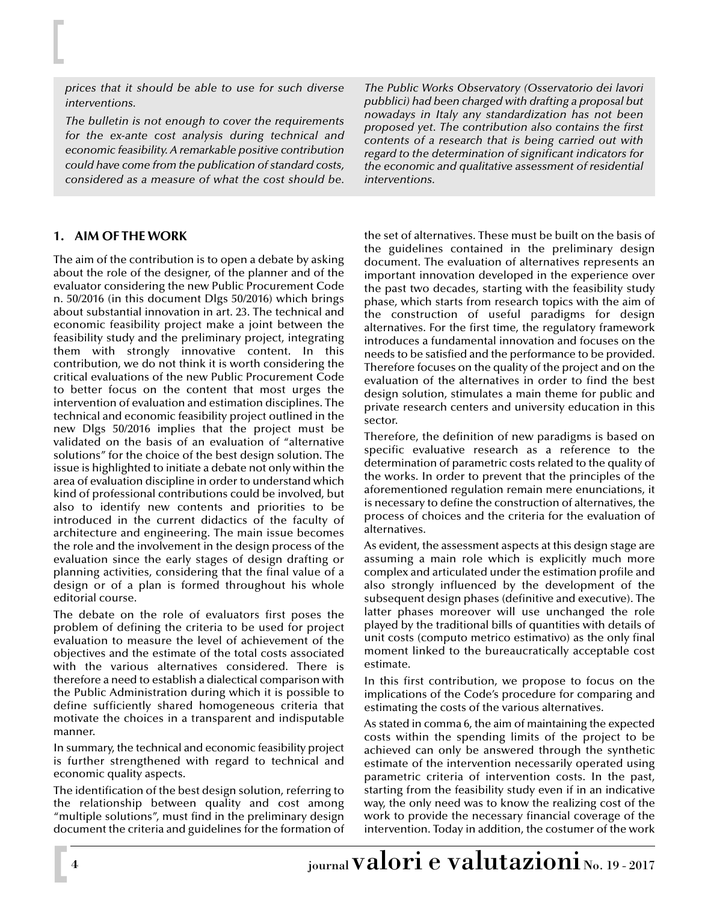*prices that it should be able to use for such diverse interventions.*

*The bulletin is not enough to cover the requirements for the ex-ante cost analysis during technical and economic feasibility. A remarkable positive contribution could have come from the publication of standard costs, considered as a measure of what the cost should be.*

## **1. AIM OF THE WORK**

The aim of the contribution is to open a debate by asking about the role of the designer, of the planner and of the evaluator considering the new Public Procurement Code n. 50/2016 (in this document Dlgs 50/2016) which brings about substantial innovation in art. 23. The technical and economic feasibility project make a joint between the feasibility study and the preliminary project, integrating them with strongly innovative content. In this contribution, we do not think it is worth considering the critical evaluations of the new Public Procurement Code to better focus on the content that most urges the intervention of evaluation and estimation disciplines. The technical and economic feasibility project outlined in the new Dlgs 50/2016 implies that the project must be validated on the basis of an evaluation of "alternative solutions" for the choice of the best design solution. The issue is highlighted to initiate a debate not only within the area of evaluation discipline in order to understand which kind of professional contributions could be involved, but also to identify new contents and priorities to be introduced in the current didactics of the faculty of architecture and engineering. The main issue becomes the role and the involvement in the design process of the evaluation since the early stages of design drafting or planning activities, considering that the final value of a design or of a plan is formed throughout his whole editorial course.

The debate on the role of evaluators first poses the problem of defining the criteria to be used for project evaluation to measure the level of achievement of the objectives and the estimate of the total costs associated with the various alternatives considered. There is therefore a need to establish a dialectical comparison with the Public Administration during which it is possible to define sufficiently shared homogeneous criteria that motivate the choices in a transparent and indisputable manner.

In summary, the technical and economic feasibility project is further strengthened with regard to technical and economic quality aspects.

The identification of the best design solution, referring to the relationship between quality and cost among "multiple solutions", must find in the preliminary design document the criteria and guidelines for the formation of

*The Public Works Observatory (Osservatorio dei lavori pubblici) had been charged with drafting a proposal but nowadays in Italy any standardization has not been proposed yet. The contribution also contains the first contents of a research that is being carried out with regard to the determination of significant indicators for the economic and qualitative assessment of residential interventions.*

the set of alternatives. These must be built on the basis of the guidelines contained in the preliminary design document. The evaluation of alternatives represents an important innovation developed in the experience over the past two decades, starting with the feasibility study phase, which starts from research topics with the aim of the construction of useful paradigms for design alternatives. For the first time, the regulatory framework introduces a fundamental innovation and focuses on the needs to be satisfied and the performance to be provided. Therefore focuses on the quality of the project and on the evaluation of the alternatives in order to find the best design solution, stimulates a main theme for public and private research centers and university education in this sector.

Therefore, the definition of new paradigms is based on specific evaluative research as a reference to the determination of parametric costs related to the quality of the works. In order to prevent that the principles of the aforementioned regulation remain mere enunciations, it is necessary to define the construction of alternatives, the process of choices and the criteria for the evaluation of alternatives.

As evident, the assessment aspects at this design stage are assuming a main role which is explicitly much more complex and articulated under the estimation profile and also strongly influenced by the development of the subsequent design phases (definitive and executive). The latter phases moreover will use unchanged the role played by the traditional bills of quantities with details of unit costs (computo metrico estimativo) as the only final moment linked to the bureaucratically acceptable cost estimate.

In this first contribution, we propose to focus on the implications of the Code's procedure for comparing and estimating the costs of the various alternatives.

As stated in comma 6, the aim of maintaining the expected costs within the spending limits of the project to be achieved can only be answered through the synthetic estimate of the intervention necessarily operated using parametric criteria of intervention costs. In the past, starting from the feasibility study even if in an indicative way, the only need was to know the realizing cost of the work to provide the necessary financial coverage of the intervention. Today in addition, the costumer of the work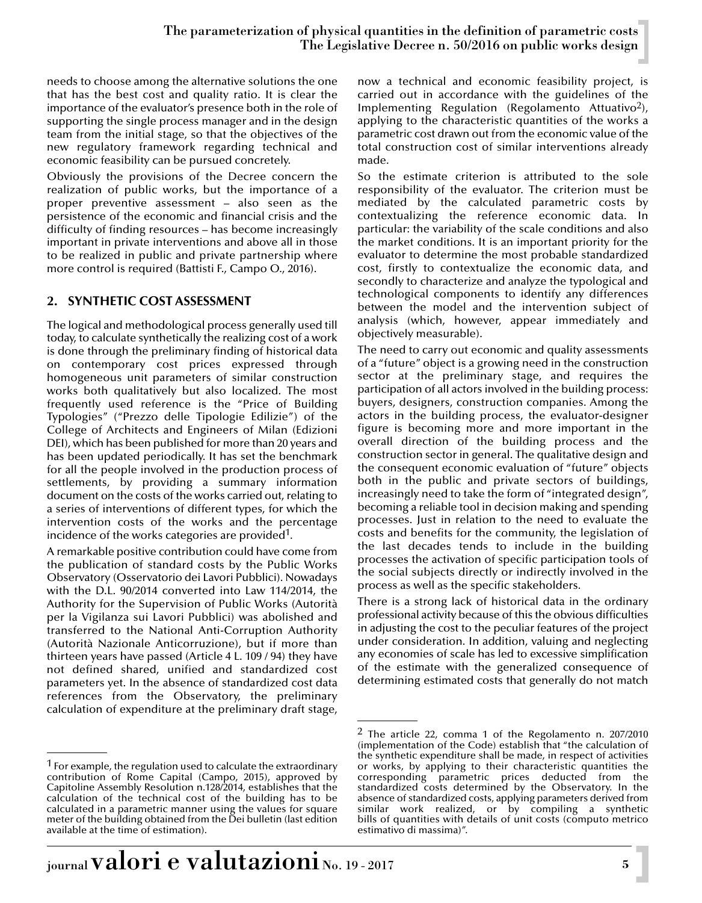needs to choose among the alternative solutions the one that has the best cost and quality ratio. It is clear the importance of the evaluator's presence both in the role of supporting the single process manager and in the design team from the initial stage, so that the objectives of the new regulatory framework regarding technical and economic feasibility can be pursued concretely.

Obviously the provisions of the Decree concern the realization of public works, but the importance of a proper preventive assessment – also seen as the persistence of the economic and financial crisis and the difficulty of finding resources – has become increasingly important in private interventions and above all in those to be realized in public and private partnership where more control is required (Battisti F., Campo O., 2016).

## **2. SYNTHETIC COST ASSESSMENT**

The logical and methodological process generally used till today, to calculate synthetically the realizing cost of a work is done through the preliminary finding of historical data on contemporary cost prices expressed through homogeneous unit parameters of similar construction works both qualitatively but also localized. The most frequently used reference is the "Price of Building Typologies" ("Prezzo delle Tipologie Edilizie") of the College of Architects and Engineers of Milan (Edizioni DEI), which has been published for more than 20 years and has been updated periodically. It has set the benchmark for all the people involved in the production process of settlements, by providing a summary information document on the costs of the works carried out, relating to a series of interventions of different types, for which the intervention costs of the works and the percentage incidence of the works categories are provided1.

A remarkable positive contribution could have come from the publication of standard costs by the Public Works Observatory (Osservatorio dei Lavori Pubblici). Nowadays with the D.L. 90/2014 converted into Law 114/2014, the Authority for the Supervision of Public Works (Autorità per la Vigilanza sui Lavori Pubblici) was abolished and transferred to the National Anti-Corruption Authority (Autorità Nazionale Anticorruzione), but if more than thirteen years have passed (Article 4 L. 109 / 94) they have not defined shared, unified and standardized cost parameters yet. In the absence of standardized cost data references from the Observatory, the preliminary calculation of expenditure at the preliminary draft stage,

now a technical and economic feasibility project, is carried out in accordance with the guidelines of the Implementing Regulation (Regolamento Attuativo<sup>2</sup>), applying to the characteristic quantities of the works a parametric cost drawn out from the economic value of the total construction cost of similar interventions already made.

So the estimate criterion is attributed to the sole responsibility of the evaluator. The criterion must be mediated by the calculated parametric costs by contextualizing the reference economic data. In particular: the variability of the scale conditions and also the market conditions. It is an important priority for the evaluator to determine the most probable standardized cost, firstly to contextualize the economic data, and secondly to characterize and analyze the typological and technological components to identify any differences between the model and the intervention subject of analysis (which, however, appear immediately and objectively measurable).

The need to carry out economic and quality assessments of a "future" object is a growing need in the construction sector at the preliminary stage, and requires the participation of all actors involved in the building process: buyers, designers, construction companies. Among the actors in the building process, the evaluator-designer figure is becoming more and more important in the overall direction of the building process and the construction sector in general. The qualitative design and the consequent economic evaluation of "future" objects both in the public and private sectors of buildings, increasingly need to take the form of "integrated design", becoming a reliable tool in decision making and spending processes. Just in relation to the need to evaluate the costs and benefits for the community, the legislation of the last decades tends to include in the building processes the activation of specific participation tools of the social subjects directly or indirectly involved in the process as well as the specific stakeholders.

There is a strong lack of historical data in the ordinary professional activity because of this the obvious difficulties in adjusting the cost to the peculiar features of the project under consideration. In addition, valuing and neglecting any economies of scale has led to excessive simplification of the estimate with the generalized consequence of determining estimated costs that generally do not match

<sup>&</sup>lt;sup>1</sup> For example, the regulation used to calculate the extraordinary contribution of Rome Capital (Campo, 2015), approved by Capitoline Assembly Resolution n.128/2014, establishes that the calculation of the technical cost of the building has to be calculated in a parametric manner using the values for square meter of the building obtained from the Dei bulletin (last edition available at the time of estimation).

 $2$  The article 22, comma 1 of the Regolamento n. 207/2010 (implementation of the Code) establish that "the calculation of the synthetic expenditure shall be made, in respect of activities or works, by applying to their characteristic quantities the corresponding parametric prices deducted from the standardized costs determined by the Observatory. In the absence of standardized costs, applying parameters derived from similar work realized, or by compiling a synthetic bills of quantities with details of unit costs (computo metrico estimativo di massima)".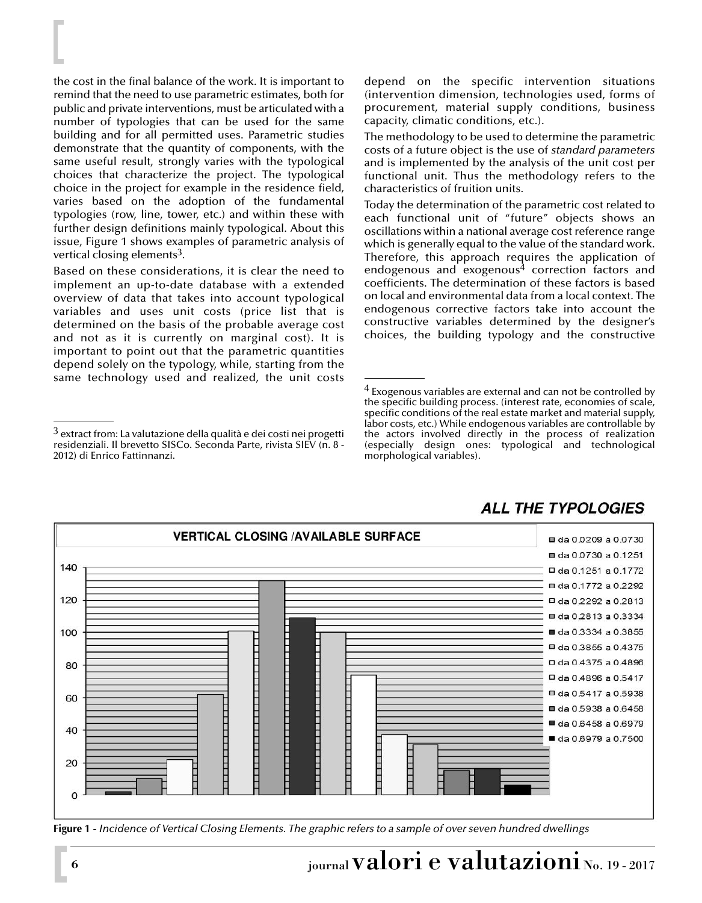the cost in the final balance of the work. It is important to remind that the need to use parametric estimates, both for public and private interventions, must be articulated with a number of typologies that can be used for the same building and for all permitted uses. Parametric studies demonstrate that the quantity of components, with the same useful result, strongly varies with the typological choices that characterize the project. The typological choice in the project for example in the residence field, varies based on the adoption of the fundamental typologies (row, line, tower, etc.) and within these with further design definitions mainly typological. About this issue, Figure 1 shows examples of parametric analysis of vertical closing elements<sup>3</sup>.

Based on these considerations, it is clear the need to implement an up-to-date database with a extended overview of data that takes into account typological variables and uses unit costs (price list that is determined on the basis of the probable average cost and not as it is currently on marginal cost). It is important to point out that the parametric quantities depend solely on the typology, while, starting from the same technology used and realized, the unit costs

depend on the specific intervention situations (intervention dimension, technologies used, forms of procurement, material supply conditions, business capacity, climatic conditions, etc.).

The methodology to be used to determine the parametric costs of a future object is the use of *standard parameters* and is implemented by the analysis of the unit cost per functional unit. Thus the methodology refers to the characteristics of fruition units.

Today the determination of the parametric cost related to each functional unit of "future" objects shows an oscillations within a national average cost reference range which is generally equal to the value of the standard work. Therefore, this approach requires the application of endogenous and exogenous<sup>4</sup> correction factors and coefficients. The determination of these factors is based on local and environmental data from a local context. The endogenous corrective factors take into account the constructive variables determined by the designer's choices, the building typology and the constructive

<sup>4</sup> Exogenous variables are external and can not be controlled by the specific building process. (interest rate, economies of scale, specific conditions of the real estate market and material supply, labor costs, etc.) While endogenous variables are controllable by the actors involved directly in the process of realization (especially design ones: typological and technological morphological variables).



**Figure 1 -** *Incidence of Vertical Closing Elements. The graphic refers to a sample of over seven hundred dwellings*

# **6 b** iournal **valori** e valutazioni No. 19 - 2017  $\mathbf{a}$

<sup>3</sup> extract from: La valutazione della qualità e dei costi nei progetti residenziali. Il brevetto SISCo. Seconda Parte, rivista SIEV (n. 8 - 2012) di Enrico Fattinnanzi.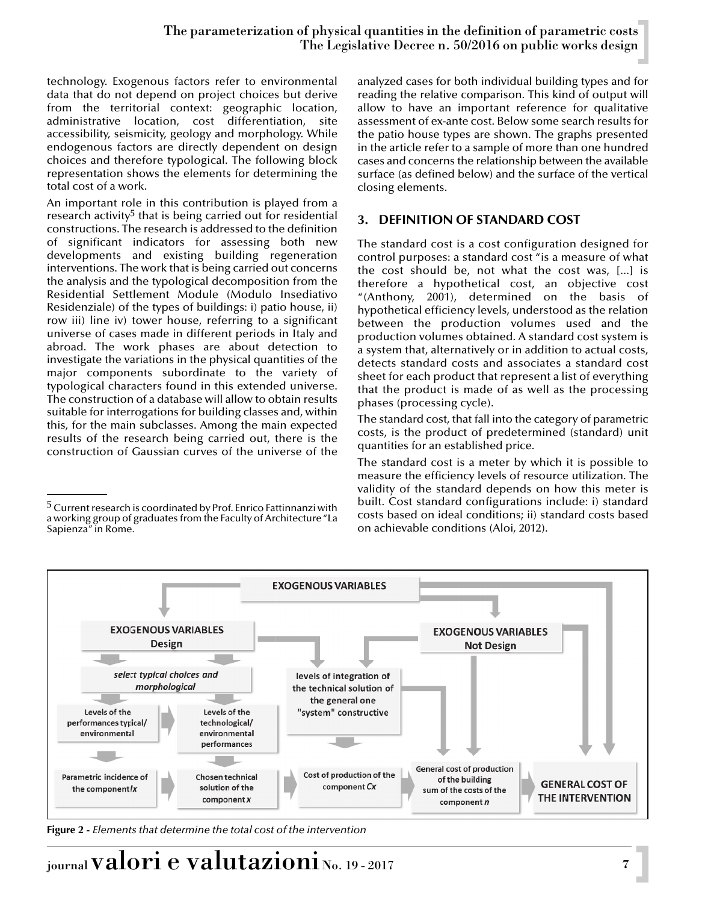technology. Exogenous factors refer to environmental data that do not depend on project choices but derive from the territorial context: geographic location, administrative location, cost differentiation, site accessibility, seismicity, geology and morphology. While endogenous factors are directly dependent on design choices and therefore typological. The following block representation shows the elements for determining the total cost of a work.

An important role in this contribution is played from a research activity<sup>5</sup> that is being carried out for residential constructions. The research is addressed to the definition of significant indicators for assessing both new developments and existing building regeneration interventions. The work that is being carried out concerns the analysis and the typological decomposition from the Residential Settlement Module (Modulo Insediativo Residenziale) of the types of buildings: i) patio house, ii) row iii) line iv) tower house, referring to a significant universe of cases made in different periods in Italy and abroad. The work phases are about detection to investigate the variations in the physical quantities of the major components subordinate to the variety of typological characters found in this extended universe. The construction of a database will allow to obtain results suitable for interrogations for building classes and, within this, for the main subclasses. Among the main expected results of the research being carried out, there is the construction of Gaussian curves of the universe of the

analyzed cases for both individual building types and for reading the relative comparison. This kind of output will allow to have an important reference for qualitative assessment of ex-ante cost. Below some search results for the patio house types are shown. The graphs presented in the article refer to a sample of more than one hundred cases and concerns the relationship between the available surface (as defined below) and the surface of the vertical closing elements.

## **3. DEFINITION OF STANDARD COST**

The standard cost is a cost configuration designed for control purposes: a standard cost "is a measure of what the cost should be, not what the cost was, [...] is therefore a hypothetical cost, an objective cost "(Anthony, 2001), determined on the basis of hypothetical efficiency levels, understood as the relation between the production volumes used and the production volumes obtained. A standard cost system is a system that, alternatively or in addition to actual costs, detects standard costs and associates a standard cost sheet for each product that represent a list of everything that the product is made of as well as the processing phases (processing cycle).

The standard cost, that fall into the category of parametric costs, is the product of predetermined (standard) unit quantities for an established price.

The standard cost is a meter by which it is possible to measure the efficiency levels of resource utilization. The validity of the standard depends on how this meter is built. Cost standard configurations include: i) standard costs based on ideal conditions; ii) standard costs based on achievable conditions (Aloi, 2012).



**Figure 2 -** *Elements that determine the total cost of the intervention* 

journal valori e valutazioni No. 19 - 2017 **<sup>7</sup>**

<sup>&</sup>lt;sup>5</sup> Current research is coordinated by Prof. Enrico Fattinnanzi with a working group of graduates from the Faculty of Architecture "La<br>Sapienza" in Rome. Sapienza" in Rome.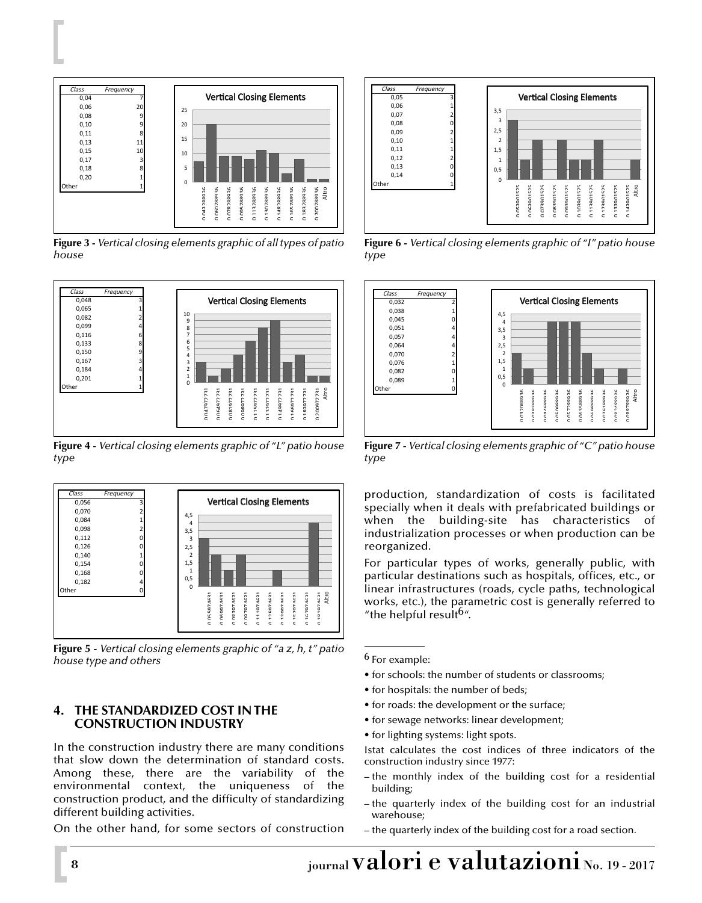

**Figure 3 -** *Vertical closing elements graphic of all types of patio house*



**Figure 4 -** *Vertical closing elements graphic of "L" patio house type*



**Figure 5 -** *Vertical closing elements graphic of "a z, h, t" patio house type and others*

### **4. THE STANDARDIZED COST IN THE CONSTRUCTION INDUSTRY**

In the construction industry there are many conditions that slow down the determination of standard costs. Among these, there are the variability of the environmental context, the uniqueness of the construction product, and the difficulty of standardizing different building activities.

On the other hand, for some sectors of construction



**Figure 6 -** *Vertical closing elements graphic of "I" patio house type*



**Figure 7 -** *Vertical closing elements graphic of "C" patio house type*

production, standardization of costs is facilitated specially when it deals with prefabricated buildings or when the building-site has characteristics of industrialization processes or when production can be reorganized.

For particular types of works, generally public, with particular destinations such as hospitals, offices, etc., or linear infrastructures (roads, cycle paths, technological works, etc.), the parametric cost is generally referred to "the helpful result<sup>b"</sup>.

6 For example:

- for schools: the number of students or classrooms;
- for hospitals: the number of beds;
- for roads: the development or the surface;
- for sewage networks: linear development;
- for lighting systems: light spots.
- Istat calculates the cost indices of three indicators of the construction industry since 1977:
- the monthly index of the building cost for a residential building;
- the quarterly index of the building cost for an industrial warehouse;
- the quarterly index of the building cost for a road section.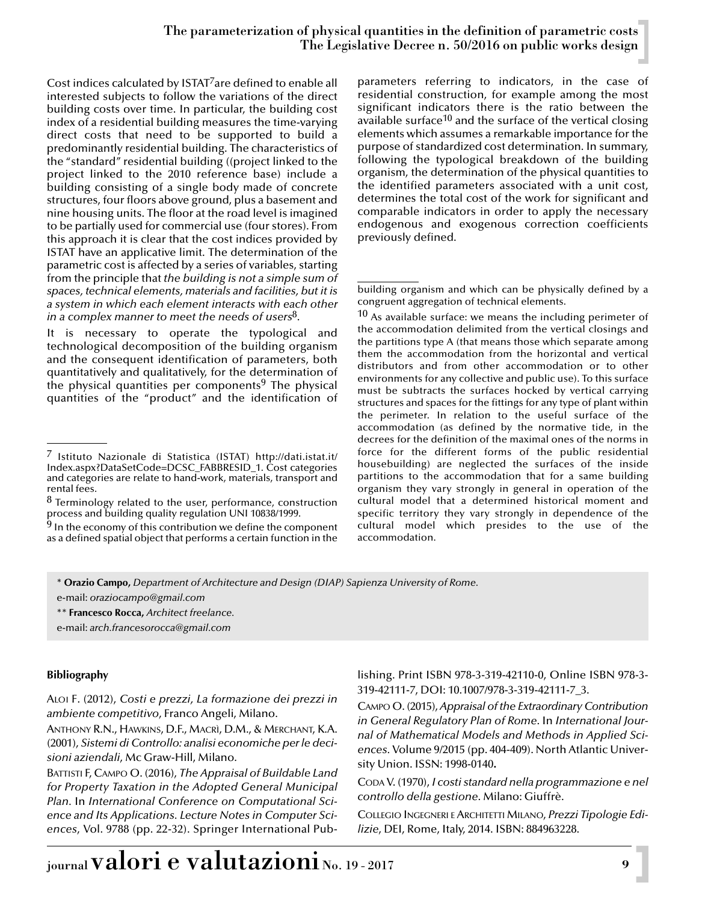### The parameterization of physical quantities in the definition of parametric costs The Legislative Decree n. 50/2016 on public works design

Cost indices calculated by ISTAT<sup>7</sup>are defined to enable all interested subjects to follow the variations of the direct building costs over time. In particular, the building cost index of a residential building measures the time-varying direct costs that need to be supported to build a predominantly residential building. The characteristics of the "standard" residential building ((project linked to the project linked to the 2010 reference base) include a building consisting of a single body made of concrete structures, four floors above ground, plus a basement and nine housing units. The floor at the road level is imagined to be partially used for commercial use (four stores). From this approach it is clear that the cost indices provided by ISTAT have an applicative limit. The determination of the parametric cost is affected by a series of variables, starting from the principle that *the building is not a simple sum of spaces, technical elements, materials and facilities, but it is a system in which each element interacts with each other in a complex manner to meet the needs of users*8.

It is necessary to operate the typological and technological decomposition of the building organism and the consequent identification of parameters, both quantitatively and qualitatively, for the determination of the physical quantities per components<sup>9</sup> The physical quantities of the "product" and the identification of parameters referring to indicators, in the case of residential construction, for example among the most significant indicators there is the ratio between the available surface<sup>10</sup> and the surface of the vertical closing elements which assumes a remarkable importance for the purpose of standardized cost determination. In summary, following the typological breakdown of the building organism, the determination of the physical quantities to the identified parameters associated with a unit cost, determines the total cost of the work for significant and comparable indicators in order to apply the necessary endogenous and exogenous correction coefficients previously defined.

 $10$  As available surface: we means the including perimeter of the accommodation delimited from the vertical closings and the partitions type A (that means those which separate among them the accommodation from the horizontal and vertical distributors and from other accommodation or to other environments for any collective and public use). To this surface must be subtracts the surfaces hocked by vertical carrying structures and spaces for the fittings for any type of plant within the perimeter. In relation to the useful surface of the accommodation (as defined by the normative tide, in the decrees for the definition of the maximal ones of the norms in force for the different forms of the public residential housebuilding) are neglected the surfaces of the inside partitions to the accommodation that for a same building organism they vary strongly in general in operation of the cultural model that a determined historical moment and specific territory they vary strongly in dependence of the cultural model which presides to the use of the accommodation.

\* **Orazio Campo,** *Department of Architecture and Design (DIAP) Sapienza University of Rome.*

e-mail: *oraziocampo@gmail.com*

\*\* **Francesco Rocca,** *Architect freelance.*

e-mail: *arch.francesorocca@gmail.com*

#### **Bibliography**

ALOI F. (2012), *Costi e prezzi, La formazione dei prezzi in ambiente competitivo*, Franco Angeli, Milano.

ANTHONY R.N., HAWKINS, D.F., MACRÌ, D.M., & MERCHANT, K.A. (2001), *Sistemi di Controllo: analisi economiche per le decisioni aziendali*, Mc Graw-Hill, Milano.

BATTISTI F, CAMPO O. (2016), *The Appraisal of Buildable Land for Property Taxation in the Adopted General Municipal Plan.* In *International Conference on Computational Science and Its Applications. Lecture Notes in Computer Sciences*, Vol. 9788 (pp. 22-32). Springer International Publishing. Print ISBN 978-3-319-42110-0, Online ISBN 978-3- 319-42111-7, DOI: 10.1007/978-3-319-42111-7\_3.

CAMPO O. (2015),*Appraisal of the Extraordinary Contribution in General Regulatory Plan of Rome*. In *International Journal of Mathematical Models and Methods in Applied Sciences.* Volume 9/2015 (pp. 404-409). North Atlantic University Union. ISSN: 1998-0140**.**

CODA V. (1970), *I costi standard nella programmazione e nel controllo della gestione*. Milano: Giuffrè.

COLLEGIO INGEGNERI E ARCHITETTI MILANO, *Prezzi Tipologie Edilizie*, DEI, Rome, Italy, 2014. ISBN: 884963228.

<sup>7</sup> Istituto Nazionale di Statistica (ISTAT) http://dati.istat.it/ Index.aspx?DataSetCode=DCSC\_FABBRESID\_1. Cost categories and categories are relate to hand-work, materials, transport and rental fees.

 $8$  Terminology related to the user, performance, construction process and building quality regulation UNI 10838/1999.

 $9$  In the economy of this contribution we define the component as a defined spatial object that performs a certain function in the

building organism and which can be physically defined by a congruent aggregation of technical elements.